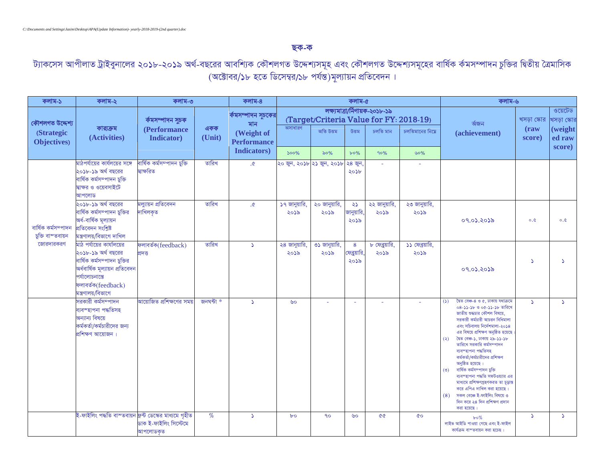## **QK**-**K**

ট্যাকসেস আপীলাত ট্রাইবুনালের ২০<mark>১</mark>৮-২০<mark>১৯ অর্থ-বছরের আবশ</mark>ি্যক কৌশলগত উদ্দেশ্যসমূহ এবং কৌশলগত উদ্দেশ্যসমূহের বার্ষিক র্কমসম্পাদন চুক্তির দ্বিতীয় ত্রৈমাসিক (অক্টোবর/১৮ হতে ডিসেম্বর/১৮ পর্যন্ত)মূল্যায়ন প্রতিবেদন।

| কলাম-১                                                | কলাম-২                                                                                                                                                                          | কলাম-৩                                 |               | কলাম-৪                           | কলাম-৫                           |                           |                           |                                                                           |                        | কলাম-৬                                                                                                                                                                                                                                                                                                                                                                                                                                                                                                                                                                                                                         |                                     |                    |
|-------------------------------------------------------|---------------------------------------------------------------------------------------------------------------------------------------------------------------------------------|----------------------------------------|---------------|----------------------------------|----------------------------------|---------------------------|---------------------------|---------------------------------------------------------------------------|------------------------|--------------------------------------------------------------------------------------------------------------------------------------------------------------------------------------------------------------------------------------------------------------------------------------------------------------------------------------------------------------------------------------------------------------------------------------------------------------------------------------------------------------------------------------------------------------------------------------------------------------------------------|-------------------------------------|--------------------|
| কৌশলগত উদ্দেশ্য                                       |                                                                                                                                                                                 | ৰ্কমসম্পাদন সুচক                       |               | ৰ্কমসম্পাদন সূচকের<br>মান        |                                  |                           |                           | লক্ষ্যমাত্ৰা/ৰ্নিণায়ক-২০১৮-১৯<br>(Target/Criteria Value for FY: 2018-19) | ৰ্অজন                  | খসড়া স্কোর                                                                                                                                                                                                                                                                                                                                                                                                                                                                                                                                                                                                                    | ওয়েটেড<br><mark>খসড়া স্কোর</mark> |                    |
| <b>(Strategic)</b><br>Objectives)                     | কার্যক্রম<br>(Activities)                                                                                                                                                       | (Performance<br><b>Indicator</b> )     | একক<br>(Unit) | (Weight of<br><b>Performance</b> | অসাধারণ                          | অতি উত্তম                 | উত্তম                     | চলতি মান                                                                  | চলতিমানের নিম্নে       | (achievement)                                                                                                                                                                                                                                                                                                                                                                                                                                                                                                                                                                                                                  | $(\mathbf{raw})$<br>score)          | (weight)<br>ed raw |
|                                                       |                                                                                                                                                                                 |                                        |               | <b>Indicators</b> )              | 500%                             | ৯০%                       | $b0\%$                    | 90%                                                                       | ৬০%                    |                                                                                                                                                                                                                                                                                                                                                                                                                                                                                                                                                                                                                                |                                     | score)             |
|                                                       | মাঠপর্যায়ের কার্যলয়ের সঙ্গে<br>২০১৮-১৯ অর্থ বছরের<br>বাৰ্ষিক কৰ্মসম্পাদন চুক্তি<br>স্বাক্ষর ও ওয়েবসাইটে<br>আপলোড                                                             | বাৰ্ষিক কৰ্মসম্পাদন চুক্তি<br>ষাক্ষরিত | তারিখ         | $\mathfrak{D}.$                  |                                  | ২০ জুন, ২০১৮ ২১ জুন, ২০১৮ | ২৪ জুন,<br>২০১৮           |                                                                           |                        |                                                                                                                                                                                                                                                                                                                                                                                                                                                                                                                                                                                                                                |                                     |                    |
| বাৰ্ষিক কৰ্মসম্পাদন<br>চুক্তি বাস্তবায়ন<br>জোরদারকরণ | ২০১৮-১৯ অর্থ বছরের<br>বার্ষিক কর্মসম্পাদন চুক্তির<br>অৰ্ধ-বাৰ্ষিক মূল্যায়ন<br>প্ৰতিবেদন সংশ্লিষ্ট<br>মন্ত্ৰণালয়/বিভাগে দাখিল                                                  | মল্যায়ন প্ৰতিবেদন<br>দাখিলকৃত         | তারিখ         | $\mathfrak{D}.$                  | ১৭ জানুয়ারি,<br>২০১৯            | ২০ জানুয়ারি,<br>২০১৯     | ২১<br>জানুয়ারি,<br>২০১৯  | ২২ জানুয়ারি,<br>২০১৯                                                     | ২৩ জানুয়ারি,<br>২০১৯  | ०१.०১.२०১৯                                                                                                                                                                                                                                                                                                                                                                                                                                                                                                                                                                                                                     | 0.0                                 | 0.0                |
|                                                       | মাঠ পর্যায়ের কার্যালয়ের<br>২০১৮-১৯ অর্থ বছরের<br>বার্ষিক কর্মসম্পাদন চুক্তির<br>অৰ্ধবাৰ্ষিক মূল্যায়ন প্ৰতিবেদন<br>পৰ্যালোচনান্তে<br>ফলাবৰ্তক(feedback)<br>মন্ত্ৰণালয়/বিভাগে | ফলাবৰ্তক(feedback)<br>প্ৰদত্ত          | তারিখ         | $\Delta$                         | $8\overline{$ জানুয়ারি,<br>২০১৯ | ৩১ জানুয়ারি,<br>২০১৯     | 8<br>ফেব্রুয়ারি,<br>২০১৯ | ৮ ফেব্রুয়ারি,<br>২০১৯                                                    | ১১ ফেব্রয়ারি,<br>২০১৯ | ०१.०১.२०১৯                                                                                                                                                                                                                                                                                                                                                                                                                                                                                                                                                                                                                     | د.                                  | $\Delta$           |
|                                                       | সরকারী কর্মসম্পাদন<br>ব্যবস্হাপনা পদ্ধতিসহ<br>অন্যান্য বিষয়ে<br>কর্মকর্তা/কর্মচারীদের জন্য<br>প্ৰশিক্ষণ আয়োজন                                                                 | আয়োজিত প্রশিক্ষণের সময়               | জনঘন্টা *     | $\Delta$                         | ৬০                               |                           | $\sim$                    | ÷.                                                                        |                        | দৈত বেঞ্চ-৪ ও ৫. ঢাকায় যথাক্ৰমে<br>(5)<br>০৪-১১-১৮ ও ০৫-১১-১৮ তারিখে<br>জাতীয় শুদ্ধচার কৌশল বিষয়ে,<br>সরকারী কর্মচারী আচরন বিধিমালা<br>এবং সচিবালয় নির্দেশমালা-২০১৪<br>এর বিষয়ে প্রশিক্ষণ অনুষ্ঠিত হয়েছে<br>দ্বৈত বেঞ্চ-১, ঢাকায় ২৯-১১-১৮<br>$\left( \infty \right)$<br>তারিখে সরকারি কর্মসম্পাদন<br>ব্যবস্হাপনা পদ্ধতিসহ<br>কর্মকর্তা/কর্মচারীদের প্রশিক্ষণ<br>অনুষ্ঠিত হয়েছে।<br>বাৰ্ষিক কৰ্মসম্পাদন চক্তি<br>(5)<br>ব্যবস্হাপনা পদ্ধতি সফটওয়্যার এর<br>মাধ্যমে প্ৰশিক্ষণগ্ৰহণকরত তা চূড়ান্ত<br>করে এপিএ দাখিল করা হয়েছে।<br>সকল বেঞ্চে ই-ফাইলিং বিষয়ে ৩<br>(8)<br>দিন করে ২৪ দিন প্রশিক্ষণ প্রদান<br>করা হয়েছে | $\Delta$                            | $\Delta$           |
|                                                       | ই-ফাইলিং পদ্ধতি বাস্তবায়ন ফ্রন্ট ডেস্কের মাধ্যমে গৃহীত                                                                                                                         | ডাক ই-ফাইলিং সিস্টেমে<br>আপলোডকৃত      | $\%$          | S                                | $b^{\circ}$                      | $90^{\circ}$              | ৬০                        | 66                                                                        | <b>CO</b>              | $b \circ \%$<br>লাইভ আইডি পাওয়া গেছে এবং ই-ফাইল<br>কাৰ্যক্ৰম বাস্তবায়ন করা হচেছ।                                                                                                                                                                                                                                                                                                                                                                                                                                                                                                                                             | $\Delta$                            | $\Delta$           |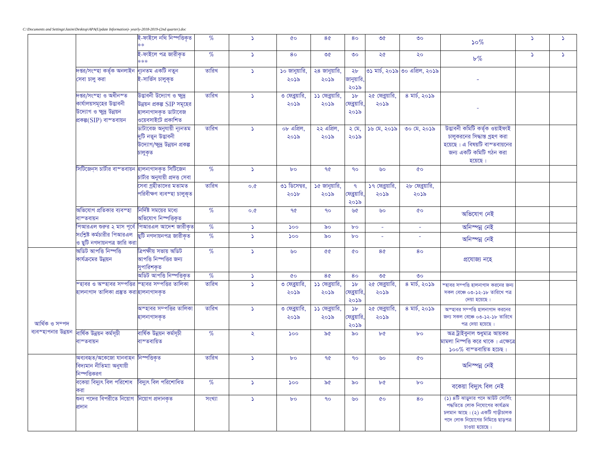|                                        |                                                                                                              | ই-ফাইলে নথি নিস্পত্তিকৃত                                                                              | $\%$   | $\Delta$      | $\infty$               | 8¢                      | 80                                                 | ৩৫                      | $\circ$                        | $50\%$                                                                                                                                                     | 5        | $\Delta$ |
|----------------------------------------|--------------------------------------------------------------------------------------------------------------|-------------------------------------------------------------------------------------------------------|--------|---------------|------------------------|-------------------------|----------------------------------------------------|-------------------------|--------------------------------|------------------------------------------------------------------------------------------------------------------------------------------------------------|----------|----------|
|                                        |                                                                                                              | ই-ফাইলে পত্ৰ জারীকৃত                                                                                  | %      | $\Delta$      | 80                     | ৩৫                      | $\circ$                                            | ২৫                      | ২০                             | $b\%$                                                                                                                                                      | $\Delta$ | $\Delta$ |
|                                        | দপ্তর/সংস্ <mark>হা কৰ্তৃক অনলাইন ন্যূনতম একটি নতুন</mark><br>সেবা চালু করা                                  | ই-সার্ভিস চালুকৃত                                                                                     | তারিখ  | $\Delta$      | ১০ জানুয়ারি,<br>২০১৯  | ২৪ জানুয়ারি,<br>২০১৯   | ২৮<br>জানুয়ারি,<br>২০১৯                           |                         | ৩১ মাৰ্চ, ২০১৯ ৩০ এপ্ৰিল, ২০১৯ |                                                                                                                                                            |          |          |
|                                        | দপ্তর/সংস্হা ও অধীনস্ত<br>কার্যালয়সমূহের উদ্ভাবনী<br>উদ্যোগ ও ক্ষুদ্ৰ উন্নয়ন<br>প্ৰকল্প $(SIP)$ বাস্তবায়ন | উদ্ভাবনী উদ্যোগ ও ক্ষুদ্র<br>উন্নয়ন প্রকল্প SIP সমূহের<br>হালনাগাদকৃত ডাটাবেজ<br>ওয়েবসাইটে প্ৰকাশিত | তারিখ  | $\Delta$      | ৩ ফেব্রুয়ারি,<br>২০১৯ | ১১ ফেব্রুয়ারি,<br>২০১৯ | $\delta b$<br>.<br>মেব্রুয়ারি,<br>২০১৯            | ২৫ ফেব্রুয়ারি,<br>২০১৯ | ৪ মার্চ, ২০১৯                  |                                                                                                                                                            |          |          |
|                                        |                                                                                                              | ডাটাবেজ অনুযায়ী ন্যূনতম<br>দুটি নতুন উদ্ভাবনী<br>উদ্যোগ/ক্ষুদ্র উন্নয়ন প্রকল্প<br>চালুকৃত           | তারিখ  | $\Delta$      | ০৮ এপ্রিল,<br>২০১৯     | ২২ এপ্রিল,<br>২০১৯      | $\lambda$ মে,<br>২০১৯                              | ১৬ মে, ২০১৯             | ৩০ মে, ২০১৯                    | উদ্ভাবনী কমিটি কৰ্তৃক ওয়াইফাই<br>চালুকরনের সিদ্ধান্ত গ্রহণ করা<br>হয়েছে। এ বিষয়টি বাস্তবায়নের<br>জন্য একটি কমিটি গঠন করা<br>হয়েছে।                    |          |          |
|                                        | সিটিজেন্স চার্টার বাস্তবায়ন হালনাগাদকৃত সিটিজেন                                                             | চাৰ্টার অনুযায়ী প্রদত্ত সেবা                                                                         | $\%$   | $\Delta$      | $b^{\circ}$            | $90^{\circ}$            | $90^{\circ}$                                       | ৬০                      | $\mathbf{\Omega}$              |                                                                                                                                                            |          |          |
|                                        |                                                                                                              | সেবা গ্রহীতাদের মতামত<br>পরিবীক্ষণ ব্যবস্হা চালুকৃত                                                   | তারিখ  | 0.0           | ৩১ ডিসেম্বর,<br>২০১৮   | ১৫ জানুয়ারি,<br>২০১৯   | $\mathsf{P}$<br>ফেব্রুয়ারি,<br>২০১৯               | ১৭ ফেব্রুয়ারি,<br>২০১৯ | ২৮ ফেব্রুয়ারি,<br>২০১৯        |                                                                                                                                                            |          |          |
|                                        | অভিযোগ প্ৰতিকার ব্যবস্হা<br>বাস্তবায়ন                                                                       | নিৰ্দিষ্ট সময়ের মধ্যে<br>অভিযোগ নিস্পত্তিকৃত                                                         | $\%$   | 0.0           | 90                     | $90^{\circ}$            | ৬৫                                                 | ৬০                      | $\infty$                       | অভিযোগ নেই                                                                                                                                                 |          |          |
|                                        |                                                                                                              | পিআরএল শুরুর ২ মাস পূর্বে পিআরএল আদেশ জারীকৃত                                                         | $\%$   | $\Delta$      | 500                    | ৯০                      | $b^{\circ}$                                        | ÷.                      |                                | অনিস্পন্ন নেই                                                                                                                                              |          |          |
|                                        | সংশ্লিষ্ট কর্মচারীর পিআরএল<br>ও ছুটি নগদায়নপত্র জারি করা                                                    | ছুটি নগদায়নপত্ৰ জারীকৃত                                                                              | $\%$   | $\Delta$      | 500                    | ৯০                      | $b^{\circ}$                                        | ÷.                      |                                | অনিস্পন্ন নেই                                                                                                                                              |          |          |
|                                        | অডিট আপত্তি নিস্পত্তি<br>কার্যক্রমের উন্নয়ন                                                                 | ত্ৰিপক্ষীয় সভায় অডিট<br>আপত্তি নিস্পত্তির জন্য<br>সুপারিশকৃত                                        | $\%$   | $\Delta$      | ৬০                     | $\delta \Phi$           | $\mathbf{c}$                                       | 8 <sub>0</sub>          | 80                             | প্ৰযোজ্য নহে                                                                                                                                               |          |          |
|                                        |                                                                                                              | অডিট আপত্তি নিস্পত্তিকৃত                                                                              | %      | $\Delta$      | $\infty$               | 8 <sub>0</sub>          | 80                                                 | ৩৫                      | $\circ$                        |                                                                                                                                                            |          |          |
| আৰ্থিক ও সম্পদ<br>ব্যবস্হাপনার উন্নয়ন | ম্হাবর ও অস্হাবর সম্পত্তির স্হাবর সম্পত্তির তালিকা<br>হালনাগাদ তালিকা প্ৰস্তুত করা <mark>হালনাগাদকৃত</mark>  |                                                                                                       | তারিখ  | $\Delta$      | ৩ ফেব্রুয়ারি,<br>২০১৯ | ১১ ফেব্রুয়ারি,<br>২০১৯ | 5 <sub>b</sub><br><mark>ফব্র</mark> য়ারি,<br>২০১৯ | ২৫ ফেব্রুয়ারি<br>২০১৯  | ৪ মার্চ, ২০১৯                  | -<br>স্হাবর সম্পত্তি হালনাগাদ করনের জন্য<br>সকল বেঞ্চে ০৩-১২-১৮ তারিখে পত্র<br>দেয়া হয়েছে।                                                               |          |          |
|                                        |                                                                                                              | অস্হাবর সম্পত্তির তালিকা<br>হালনাগাদকৃত                                                               | তারিখ  | $\Delta$      | ৩ ফেব্রুয়ারি,<br>২০১৯ | ১১ ফেব্রুয়ারি,<br>২০১৯ | $\delta b$<br>ফেব্রুয়ারি,<br>২০১৯                 | ২৫ ফেব্রুয়ারি,<br>২০১৯ | ৪ মার্চ, ২০১৯                  | অস্হাবর সম্পত্তি হালনাগাদ করনের<br>জন্য সকল বেঞ্চে ০৩-১২-১৮ তারিখে<br>পত্র দেয়া হয়েছে।                                                                   |          |          |
|                                        | বাৰ্ষিক উন্নয়ন কৰ্মসূচী<br>বাস্তবায়ন                                                                       | বাৰ্ষিক উন্নয়ন কৰ্মসূচী<br>বাস্তবায়িত                                                               | %      | $\mathcal{L}$ | 500                    | ৯৫                      | ৯০                                                 | ৮৫                      | $b^{\circ}$                    | অত্ৰ ট্ৰাইবুনাল শুধুমাত্ৰ আয়কর<br>মামলা নিস্পত্তি করে থাকে । এক্ষেত্রে<br>$\mathsf{0.0\%}$ বাস্তবায়িত হচেছ।                                              |          |          |
|                                        | অব্যবহৃত/অকেজো যানবাহন নিস্পত্তিকৃত<br>বিদ্যমান নীতিমাা অনুযায়ী<br>নিস্পত্তিকরণ                             |                                                                                                       | তারিখ  | $\Delta$      | $b^{\circ}$            | 90                      | $90^{\circ}$                                       | ৬০                      | $\mathbf{\Omega}$              | অনিস্পন্ন নেই                                                                                                                                              |          |          |
|                                        | বকেয়া বিদ্যুৎ বিল পরিশোধ                                                                                    | বিদ্যুৎ বিল পরিশোধিত                                                                                  | $\%$   | $\Delta$      | 500                    | ৯৫                      | ৯০                                                 | bQ                      | $b^{\circ}$                    | বকেয়া বিদ্যুৎ বিল নেই                                                                                                                                     |          |          |
|                                        | শুন্য পদের বিপরীতে নিয়োগ  নিয়োগ প্রদানকৃত<br>প্ৰদান                                                        |                                                                                                       | সংখ্যা | $\Delta$      | $b^{\circ}$            | $90^{\circ}$            | ৬০                                                 | <b>CO</b>               | 80                             | (১) ৪টি ঝাডুদার পদে আউট সোর্সিং<br>পদ্ধতিতে লোক নিযোগের কার্যক্রম<br>চলমান আছে। (২) একটি গাড়ীচালক<br>পদে লোক নিয়োগের নিমিত্তে ছাড়পত্র<br>চাওয়া হয়েছে। |          |          |

*C:\Documents and Settings\Jasim\Desktop\APA(Update Information)- yearly-2018-2019-(2nd quarter).doc*